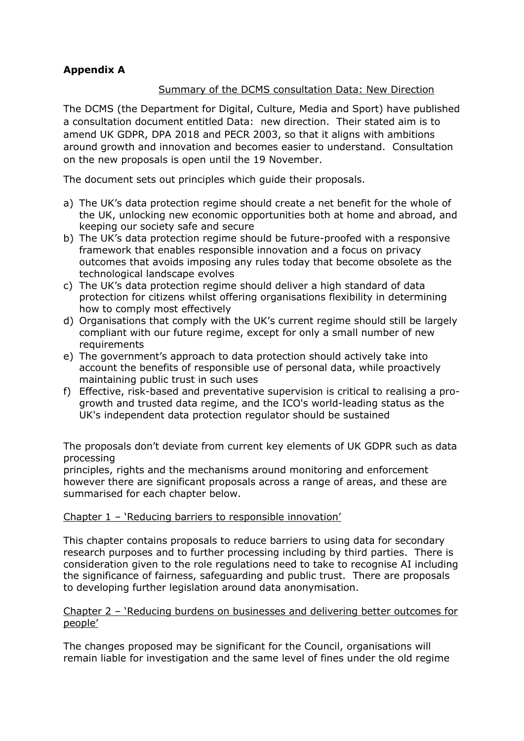## **Appendix A**

## Summary of the DCMS consultation Data: New Direction

The DCMS (the Department for Digital, Culture, Media and Sport) have published a consultation document entitled Data: new direction. Their stated aim is to amend UK GDPR, DPA 2018 and PECR 2003, so that it aligns with ambitions around growth and innovation and becomes easier to understand. Consultation on the new proposals is open until the 19 November.

The document sets out principles which guide their proposals.

- a) The UK's data protection regime should create a net benefit for the whole of the UK, unlocking new economic opportunities both at home and abroad, and keeping our society safe and secure
- b) The UK's data protection regime should be future-proofed with a responsive framework that enables responsible innovation and a focus on privacy outcomes that avoids imposing any rules today that become obsolete as the technological landscape evolves
- c) The UK's data protection regime should deliver a high standard of data protection for citizens whilst offering organisations flexibility in determining how to comply most effectively
- d) Organisations that comply with the UK's current regime should still be largely compliant with our future regime, except for only a small number of new **requirements**
- e) The government's approach to data protection should actively take into account the benefits of responsible use of personal data, while proactively maintaining public trust in such uses
- f) Effective, risk-based and preventative supervision is critical to realising a progrowth and trusted data regime, and the ICO's world-leading status as the UK's independent data protection regulator should be sustained

The proposals don't deviate from current key elements of UK GDPR such as data processing

principles, rights and the mechanisms around monitoring and enforcement however there are significant proposals across a range of areas, and these are summarised for each chapter below.

## Chapter 1 – 'Reducing barriers to responsible innovation'

This chapter contains proposals to reduce barriers to using data for secondary research purposes and to further processing including by third parties. There is consideration given to the role regulations need to take to recognise AI including the significance of fairness, safeguarding and public trust. There are proposals to developing further legislation around data anonymisation.

#### Chapter 2 – 'Reducing burdens on businesses and delivering better outcomes for people'

The changes proposed may be significant for the Council, organisations will remain liable for investigation and the same level of fines under the old regime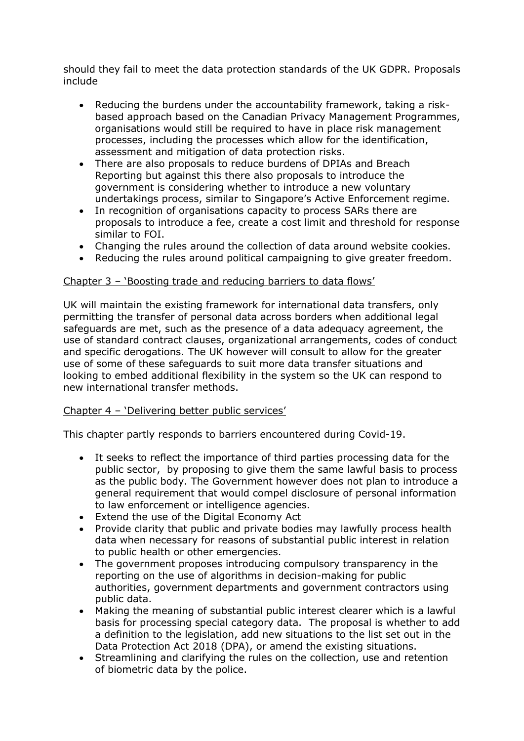should they fail to meet the data protection standards of the UK GDPR. Proposals include

- Reducing the burdens under the accountability framework, taking a riskbased approach based on the Canadian Privacy Management Programmes, organisations would still be required to have in place risk management processes, including the processes which allow for the identification, assessment and mitigation of data protection risks.
- There are also proposals to reduce burdens of DPIAs and Breach Reporting but against this there also proposals to introduce the government is considering whether to introduce a new voluntary undertakings process, similar to Singapore's Active Enforcement regime.
- In recognition of organisations capacity to process SARs there are proposals to introduce a fee, create a cost limit and threshold for response similar to FOI.
- Changing the rules around the collection of data around website cookies.
- Reducing the rules around political campaigning to give greater freedom.

## Chapter 3 – 'Boosting trade and reducing barriers to data flows'

UK will maintain the existing framework for international data transfers, only permitting the transfer of personal data across borders when additional legal safeguards are met, such as the presence of a data adequacy agreement, the use of standard contract clauses, organizational arrangements, codes of conduct and specific derogations. The UK however will consult to allow for the greater use of some of these safeguards to suit more data transfer situations and looking to embed additional flexibility in the system so the UK can respond to new international transfer methods.

#### Chapter 4 – 'Delivering better public services'

This chapter partly responds to barriers encountered during Covid-19.

- It seeks to reflect the importance of third parties processing data for the public sector, by proposing to give them the same lawful basis to process as the public body. The Government however does not plan to introduce a general requirement that would compel disclosure of personal information to law enforcement or intelligence agencies.
- Extend the use of the Digital Economy Act
- Provide clarity that public and private bodies may lawfully process health data when necessary for reasons of substantial public interest in relation to public health or other emergencies.
- The government proposes introducing compulsory transparency in the reporting on the use of algorithms in decision-making for public authorities, government departments and government contractors using public data.
- Making the meaning of substantial public interest clearer which is a lawful basis for processing special category data. The proposal is whether to add a definition to the legislation, add new situations to the list set out in the Data Protection Act 2018 (DPA), or amend the existing situations.
- Streamlining and clarifying the rules on the collection, use and retention of biometric data by the police.